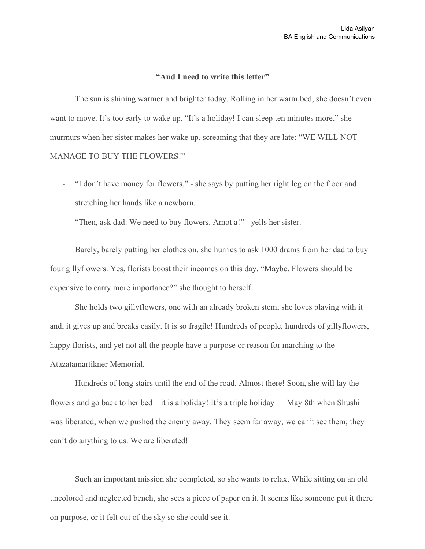## **"And I need towrite this letter"**

The sun is shining warmer and brighter today. Rolling in her warm bed, she doesn't even want to move. It's too early to wake up. "It's a holiday! I can sleep ten minutes more," she murmurs when her sister makes her wake up, screaming that they are late: "WE WILL NOT MANAGE TO BUY THE FLOWERS!"

- "I don't have money for flowers," she says by putting her right leg on the floor and stretching her hands like a newborn.
- "Then, ask dad. We need to buy flowers. Amot a!" yells her sister.

Barely, barely putting her clothes on, she hurries to ask 1000 drams from her dad to buy four gillyflowers. Yes, florists boost their incomes on this day. "Maybe, Flowers should be expensive to carry more importance?" she thought to herself.

She holds two gillyflowers, one with an already broken stem; she loves playing with it and, it gives up and breaks easily. It is so fragile! Hundreds of people, hundreds of gillyflowers, happy florists, and yet not all the people have a purpose or reason for marching to the Atazatamartikner Memorial.

Hundreds of long stairs until the end of the road. Almost there! Soon, she will lay the flowers and go back to her bed – it is a holiday! It's a triple holiday — May 8th when Shushi was liberated, when we pushed the enemy away. They seem far away; we can't see them; they can't do anything to us. We are liberated!

Such an important mission she completed, so she wants to relax. While sitting on an old uncolored and neglected bench, she sees a piece of paper on it. It seems like someone put it there on purpose, or it felt out of the sky so she could see it.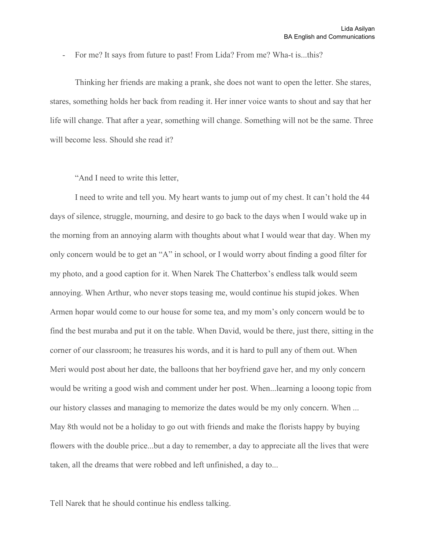- For me? It says from future to past! From Lida? From me? Wha-t is...this?

Thinking her friends are making a prank, she does not want to open the letter. She stares, stares, something holds her back from reading it. Her inner voice wants to shout and say that her life will change. That after a year, something will change. Something will not be the same. Three will become less. Should she read it?

"And I need to write this letter,

I need to write and tell you. My heart wants to jump out of my chest. It can't hold the 44 days of silence, struggle, mourning, and desire to go back to the days when I would wake up in the morning from an annoying alarm with thoughts about what I would wear that day. When my only concern would be to get an "A" in school, or I would worry about finding a good filter for my photo, and a good caption for it. When Narek The Chatterbox's endless talk would seem annoying. When Arthur, who never stops teasing me, would continue his stupid jokes. When Armen hopar would come to our house for some tea, and my mom's only concern would be to find the best muraba and put it on the table. When David, would be there, just there, sitting in the corner of our classroom; he treasures his words, and it is hard to pull any of them out. When Meri would post about her date, the balloons that her boyfriend gave her, and my only concern would be writing a good wish and comment under her post. When...learning a looong topic from our history classes and managing to memorize the dates would be my only concern. When ... May 8th would not be a holiday to go out with friends and make the florists happy by buying flowers with the double price...but a day to remember, a day to appreciate all the lives that were taken, all the dreams that were robbed and left unfinished, a day to...

Tell Narek that he should continue his endless talking.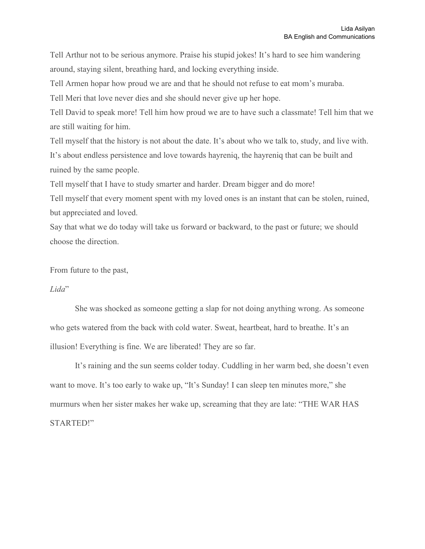Tell Arthur not to be serious anymore. Praise his stupid jokes! It's hard to see him wandering around, staying silent, breathing hard, and locking everything inside.

Tell Armen hopar how proud we are and that he should not refuse to eat mom's muraba.

Tell Meri that love never dies and she should never give up her hope.

Tell David to speak more! Tell him how proud we are to have such a classmate! Tell him that we are still waiting for him.

Tell myself that the history is not about the date. It's about who we talk to, study, and live with. It's about endless persistence and love towards hayreniq, the hayreniq that can be built and ruined by the same people.

Tell myself that I have to study smarter and harder. Dream bigger and do more!

Tell myself that every moment spent with my loved ones is an instant that can be stolen, ruined, but appreciated and loved.

Say that what we do today will take us forward or backward, to the past or future; we should choose the direction.

From future to the past,

## *Lida*"

She was shocked as someone getting a slap for not doing anything wrong. As someone who gets watered from the back with cold water. Sweat, heartbeat, hard to breathe. It's an illusion! Everything is fine. We are liberated! They are so far.

It's raining and the sun seems colder today. Cuddling in her warm bed, she doesn't even want to move. It's too early to wake up, "It's Sunday! I can sleep ten minutes more," she murmurs when her sister makes her wake up, screaming that they are late: "THE WAR HAS STARTED!"